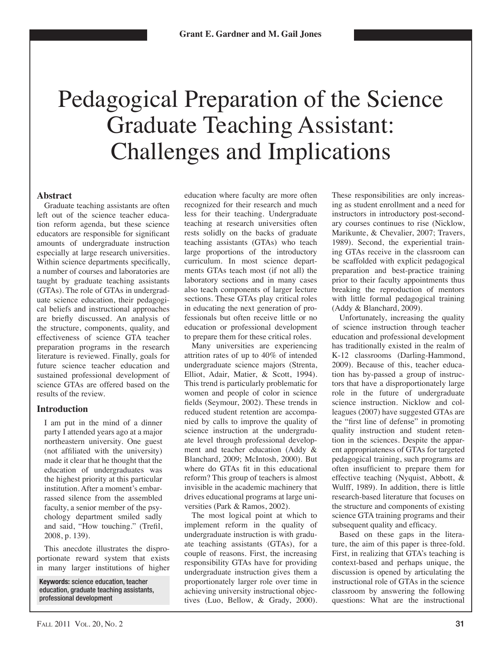# Pedagogical Preparation of the Science **Graduate Teaching Assistant: Challenges and Implications**

## **Abstract**

Graduate teaching assistants are often left out of the science teacher education reform agenda, but these science educators are responsible for significant amounts of undergraduate instruction especially at large research universities. Within science departments specifically, a number of courses and laboratories are taught by graduate teaching assistants (GTAs). The role of GTAs in undergraduate science education, their pedagogical beliefs and instructional approaches are briefly discussed. An analysis of the structure, components, quality, and effectiveness of science GTA teacher preparation programs in the research literature is reviewed. Finally, goals for future science teacher education and sustained professional development of science GTAs are offered based on the results of the review.

## **Introduction**

I am put in the mind of a dinner party I attended years ago at a major northeastern university. One guest (not affiliated with the university) made it clear that he thought that the education of undergraduates was the highest priority at this particular institution. After a moment's embarrassed silence from the assembled faculty, a senior member of the psychology department smiled sadly and said, "How touching." (Trefil, 2008, p. 139).

This anecdote illustrates the disproportionate reward system that exists in many larger institutions of higher

Keywords: science education, teacher education, graduate teaching assistants, professional development

education where faculty are more often recognized for their research and much less for their teaching. Undergraduate teaching at research universities often rests solidly on the backs of graduate teaching assistants (GTAs) who teach large proportions of the introductory curriculum. In most science departments GTAs teach most (if not all) the laboratory sections and in many cases also teach components of larger lecture sections. These GTAs play critical roles in educating the next generation of professionals but often receive little or no education or professional development to prepare them for these critical roles.

Many universities are experiencing attrition rates of up to 40% of intended undergraduate science majors (Strenta, Elliot, Adair, Matier, & Scott, 1994). This trend is particularly problematic for women and people of color in science fields (Seymour, 2002). These trends in reduced student retention are accompanied by calls to improve the quality of science instruction at the undergraduate level through professional development and teacher education (Addy & Blanchard, 2009; McIntosh, 2000). But where do GTAs fit in this educational reform? This group of teachers is almost invisible in the academic machinery that drives educational programs at large universities (Park & Ramos, 2002).

The most logical point at which to implement reform in the quality of undergraduate instruction is with graduate teaching assistants (GTAs), for a couple of reasons. First, the increasing responsibility GTAs have for providing undergraduate instruction gives them a proportionately larger role over time in achieving university instructional objectives (Luo, Bellow, & Grady, 2000).

These responsibilities are only increasing as student enrollment and a need for instructors in introductory post-secondary courses continues to rise (Nicklow, Marikunte, & Chevalier, 2007; Travers, 1989). Second, the experiential training GTAs receive in the classroom can be scaffolded with explicit pedagogical preparation and best-practice training prior to their faculty appointments thus breaking the reproduction of mentors with little formal pedagogical training (Addy & Blanchard, 2009).

Unfortunately, increasing the quality of science instruction through teacher education and professional development has traditionally existed in the realm of K-12 classrooms (Darling-Hammond, 2009). Because of this, teacher education has by-passed a group of instructors that have a disproportionately large role in the future of undergraduate science instruction. Nicklow and colleagues (2007) have suggested GTAs are the "first line of defense" in promoting quality instruction and student retention in the sciences. Despite the apparent appropriateness of GTAs for targeted pedagogical training, such programs are often insufficient to prepare them for effective teaching (Nyquist, Abbott,  $\&$ Wulff, 1989). In addition, there is little research-based literature that focuses on the structure and components of existing science GTA training programs and their subsequent quality and efficacy.

Based on these gaps in the literature, the aim of this paper is three-fold. First, in realizing that GTA's teaching is context-based and perhaps unique, the discussion is opened by articulating the instructional role of GTAs in the science classroom by answering the following questions: What are the instructional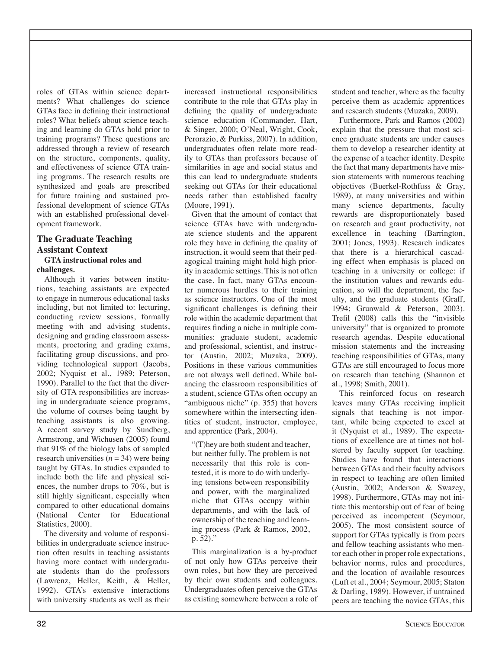roles of GTAs within science departments? What challenges do science GTAs face in defining their instructional roles? What beliefs about science teaching and learning do GTAs hold prior to training programs? These questions are addressed through a review of research on the structure, components, quality, and effectiveness of science GTA training programs. The research results are synthesized and goals are prescribed for future training and sustained professional development of science GTAs with an established professional development framework.

#### **The Graduate Teaching Assistant Context GTA** instructional roles and

#### challenges.

Although it varies between institutions, teaching assistants are expected to engage in numerous educational tasks including, but not limited to: lecturing, conducting review sessions, formally meeting with and advising students, designing and grading classroom assessments, proctoring and grading exams, facilitating group discussions, and providing technological support (Jacobs, 2002; Nyquist et al., 1989; Peterson, 1990). Parallel to the fact that the diversity of GTA responsibilities are increasing in undergraduate science programs, the volume of courses being taught by teaching assistants is also growing. A recent survey study by Sundberg, Armstrong, and Wichusen (2005) found that  $91\%$  of the biology labs of sampled research universities ( $n = 34$ ) were being taught by GTAs. In studies expanded to include both the life and physical sciences, the number drops to  $70\%$ , but is still highly significant, especially when compared to other educational domains (National Center for Educational Statistics, 2000).

The diversity and volume of responsibilities in undergraduate science instruction often results in teaching assistants having more contact with undergraduate students than do the professors (Lawrenz, Heller, Keith, & Heller, 1992). GTA's extensive interactions with university students as well as their

increased instructional responsibilities contribute to the role that GTAs play in defining the quality of undergraduate science education (Commander, Hart, & Singer, 2000; O'Neal, Wright, Cook, Perorazio, & Purkiss, 2007). In addition, undergraduates often relate more readily to GTAs than professors because of similarities in age and social status and this can lead to undergraduate students seeking out GTAs for their educational needs rather than established faculty (Moore, 1991).

Given that the amount of contact that science GTAs have with undergraduate science students and the apparent role they have in defining the quality of instruction, it would seem that their pedagogical training might hold high priority in academic settings. This is not often the case. In fact, many GTAs encounter numerous hurdles to their training as science instructors. One of the most significant challenges is defining their role within the academic department that requires finding a niche in multiple communities: graduate student, academic and professional, scientist, and instructor (Austin, 2002; Muzaka, 2009). Positions in these various communities are not always well defined. While balancing the classroom responsibilities of a student, science GTAs often occupy an "ambiguous niche" (p. 355) that hovers somewhere within the intersecting identities of student, instructor, employee, and apprentice (Park, 2004).

"(T) hey are both student and teacher, but neither fully. The problem is not necessarily that this role is contested, it is more to do with underlying tensions between responsibility and power, with the marginalized niche that GTAs occupy within departments, and with the lack of ownership of the teaching and learning process (Park & Ramos, 2002,  $p. 52$ ."

This marginalization is a by-product of not only how GTAs perceive their own roles, but how they are perceived by their own students and colleagues. Undergraduates often perceive the GTAs as existing somewhere between a role of

student and teacher, where as the faculty perceive them as academic apprentices and research students (Muzaka, 2009).

Furthermore, Park and Ramos (2002) explain that the pressure that most science graduate students are under causes them to develop a researcher identity at the expense of a teacher identity. Despite the fact that many departments have mission statements with numerous teaching objectives (Buerkel-Rothfuss & Gray, 1989), at many universities and within many science departments, faculty rewards are disproportionately based on research and grant productivity, not excellence in teaching (Barrington, 2001; Jones, 1993). Research indicates that there is a hierarchical cascading effect when emphasis is placed on teaching in a university or college: if the institution values and rewards education, so will the department, the faculty, and the graduate students (Graff, 1994; Grunwald & Peterson, 2003). Trefil (2008) calls this the "invisible" university" that is organized to promote research agendas. Despite educational mission statements and the increasing teaching responsibilities of GTAs, many GTAs are still encouraged to focus more on research than teaching (Shannon et al., 1998; Smith, 2001).

This reinforced focus on research leaves many GTAs receiving implicit signals that teaching is not important, while being expected to excel at it (Nyquist et al., 1989). The expectations of excellence are at times not bolstered by faculty support for teaching. Studies have found that interactions between GTAs and their faculty advisors in respect to teaching are often limited (Austin, 2002; Anderson & Swazey, 1998). Furthermore, GTAs may not initiate this mentorship out of fear of being perceived as incompetent (Seymour, 2005). The most consistent source of support for GTAs typically is from peers and fellow teaching assistants who mentor each other in proper role expectations, behavior norms, rules and procedures, and the location of available resources (Luft et al., 2004; Seymour, 2005; Staton & Darling, 1989). However, if untrained peers are teaching the novice GTAs, this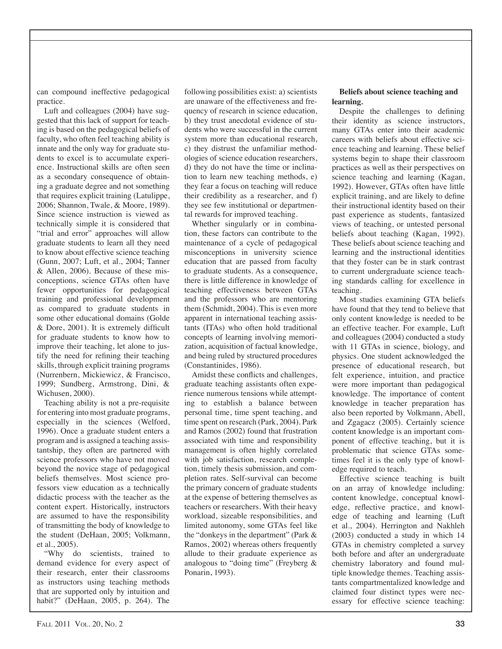can compound ineffective pedagogical practice.

Luft and colleagues (2004) have suggested that this lack of support for teaching is based on the pedagogical beliefs of faculty, who often feel teaching ability is innate and the only way for graduate students to excel is to accumulate experience. Instructional skills are often seen as a secondary consequence of obtaining a graduate degree and not something that requires explicit training (Latulippe, 2006; Shannon, Twale, & Moore, 1989). Since science instruction is viewed as technically simple it is considered that "trial and error" approaches will allow graduate students to learn all they need to know about effective science teaching (Gunn, 2007; Luft, et al., 2004; Tanner & Allen, 2006). Because of these misconceptions, science GTAs often have fewer opportunities for pedagogical training and professional development as compared to graduate students in some other educational domains (Golde & Dore, 2001). It is extremely difficult for graduate students to know how to improve their teaching, let alone to justify the need for refining their teaching skills, through explicit training programs (Nurrenbern, Mickiewicz, & Francisco, 1999; Sundberg, Armstrong, Dini, & Wichusen, 2000).

Teaching ability is not a pre-requisite for entering into most graduate programs, especially in the sciences (Welford, 1996). Once a graduate student enters a program and is assigned a teaching assistantship, they often are partnered with science professors who have not moved beyond the novice stage of pedagogical beliefs themselves. Most science professors view education as a technically didactic process with the teacher as the content expert. Historically, instructors are assumed to have the responsibility of transmitting the body of knowledge to the student (DeHaan, 2005; Volkmann, et al., 2005).

"Why do scientists, trained to demand evidence for every aspect of their research, enter their classrooms as instructors using teaching methods that are supported only by intuition and habit?" (DeHaan, 2005, p. 264). The following possibilities exist: a) scientists are unaware of the effectiveness and frequency of research in science education, b) they trust anecdotal evidence of students who were successful in the current system more than educational research, c) they distrust the unfamiliar methodologies of science education researchers, d) they do not have the time or inclination to learn new teaching methods, e) they fear a focus on teaching will reduce their credibility as a researcher, and f) they see few institutional or departmental rewards for improved teaching.

Whether singularly or in combination, these factors can contribute to the maintenance of a cycle of pedagogical misconceptions in university science education that are passed from faculty to graduate students. As a consequence, there is little difference in knowledge of teaching effectiveness between GTAs and the professors who are mentoring them (Schmidt, 2004). This is even more apparent in international teaching assistants (ITAs) who often hold traditional concepts of learning involving memorization, acquisition of factual knowledge, and being ruled by structured procedures (Constantinides, 1986).

Amidst these conflicts and challenges, graduate teaching assistants often experience numerous tensions while attempting to establish a balance between personal time, time spent teaching, and time spent on research (Park, 2004). Park and Ramos (2002) found that frustration associated with time and responsibility management is often highly correlated with job satisfaction, research completion, timely thesis submission, and completion rates. Self-survival can become the primary concern of graduate students at the expense of bettering themselves as teachers or researchers. With their heavy workload, sizeable responsibilities, and limited autonomy, some GTAs feel like the "donkeys in the department" (Park & Ramos, 2002) whereas others frequently allude to their graduate experience as analogous to "doing time" (Freyberg & Ponarin, 1993).

#### Beliefs about science teaching and learning.

Despite the challenges to defining their identity as science instructors, many GTAs enter into their academic careers with beliefs about effective science teaching and learning. These belief systems begin to shape their classroom practices as well as their perspectives on science teaching and learning (Kagan, 1992). However, GTAs often have little explicit training, and are likely to define their instructional identity based on their past experience as students, fantasized views of teaching, or untested personal beliefs about teaching (Kagan, 1992). These beliefs about science teaching and learning and the instructional identities that they foster can be in stark contrast to current undergraduate science teaching standards calling for excellence in teaching.

Most studies examining GTA beliefs have found that they tend to believe that only content knowledge is needed to be an effective teacher. For example, Luft and colleagues (2004) conducted a study with 11 GTAs in science, biology, and physics. One student acknowledged the presence of educational research, but felt experience, intuition, and practice were more important than pedagogical knowledge. The importance of content knowledge in teacher preparation has also been reported by Volkmann, Abell, and Zgagacz (2005). Certainly science content knowledge is an important component of effective teaching, but it is problematic that science GTAs sometimes feel it is the only type of knowledge required to teach.

Effective science teaching is built on an array of knowledge including: content knowledge, conceptual knowledge, reflective practice, and knowledge of teaching and learning (Luft et al., 2004). Herrington and Nakhleh (2003) conducted a study in which 14 GTAs in chemistry completed a survey both before and after an undergraduate chemistry laboratory and found multiple knowledge themes. Teaching assistants compartmentalized knowledge and claimed four distinct types were necessary for effective science teaching: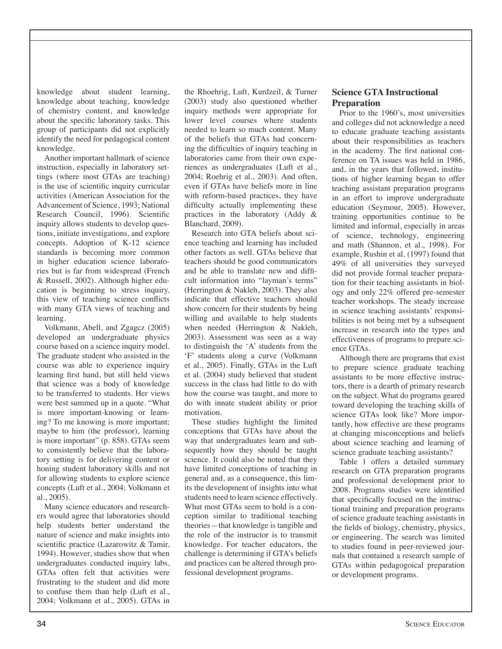knowledge about student learning, knowledge about teaching, knowledge of chemistry content, and knowledge about the specific laboratory tasks. This group of participants did not explicitly identify the need for pedagogical content knowledge.

Another important hallmark of science instruction, especially in laboratory settings (where most GTAs are teaching) is the use of scientific inquiry curricular activities (American Association for the Advancement of Science, 1993; National Research Council, 1996). Scientific inquiry allows students to develop questions, initiate investigations, and explore concepts. Adoption of K-12 science standards is becoming more common in higher education science laboratories but is far from widespread (French & Russell, 2002). Although higher education is beginning to stress inquiry. this view of teaching science conflicts with many GTA views of teaching and learning.

Volkmann, Abell, and Zgagcz (2005) developed an undergraduate physics course based on a science inquiry model. The graduate student who assisted in the course was able to experience inquiry learning first hand, but still held views that science was a body of knowledge to be transferred to students. Her views were best summed up in a quote. "What is more important-knowing or learning? To me knowing is more important; maybe to him (the professor), learning is more important" (p. 858). GTAs seem to consistently believe that the laboratory setting is for delivering content or honing student laboratory skills and not for allowing students to explore science concepts (Luft et al., 2004; Volkmann et al., 2005).

Many science educators and researchers would agree that laboratories should help students better understand the nature of science and make insights into scientific practice (Lazarowitz & Tamir, 1994). However, studies show that when undergraduates conducted inquiry labs, GTAs often felt that activities were frustrating to the student and did more to confuse them than help (Luft et al., 2004; Volkmann et al., 2005). GTAs in the Rhoehrig, Luft, Kurdzeil, & Turner (2003) study also questioned whether inquiry methods were appropriate for lower level courses where students needed to learn so much content. Many of the beliefs that GTAs had concerning the difficulties of inquiry teaching in laboratories came from their own experiences as undergraduates (Luft et al., 2004; Roehrig et al., 2003). And often, even if GTAs have beliefs more in line with reform-based practices, they have difficulty actually implementing these practices in the laboratory (Addy  $\&$ Blanchard, 2009).

Research into GTA beliefs about science teaching and learning has included other factors as well. GTAs believe that teachers should be good communicators and be able to translate new and difficult information into "layman's terms" (Herrington & Nakleh, 2003). They also indicate that effective teachers should show concern for their students by being willing and available to help students when needed (Herrington & Nakleh, 2003). Assessment was seen as a way to distinguish the 'A' students from the 'F' students along a curve (Volkmann et al., 2005). Finally, GTAs in the Luft et al. (2004) study believed that student success in the class had little to do with how the course was taught, and more to do with innate student ability or prior motivation.

These studies highlight the limited conceptions that GTAs have about the way that undergraduates learn and subsequently how they should be taught science. It could also be noted that they have limited conceptions of teaching in general and, as a consequence, this limits the development of insights into what students need to learn science effectively. What most GTAs seem to hold is a conception similar to traditional teaching theories—that knowledge is tangible and the role of the instructor is to transmit knowledge. For teacher educators, the challenge is determining if GTA's beliefs and practices can be altered through professional development programs.

# **Science GTA Instructional Preparation**

Prior to the 1960's, most universities and colleges did not acknowledge a need to educate graduate teaching assistants about their responsibilities as teachers in the academy. The first national conference on TA issues was held in 1986. and, in the years that followed, institutions of higher learning began to offer teaching assistant preparation programs in an effort to improve undergraduate education (Seymour, 2005). However, training opportunities continue to be limited and informal, especially in areas of science, technology, engineering and math (Shannon, et al., 1998). For example, Rushin et al. (1997) found that 49% of all universities they surveyed did not provide formal teacher preparation for their teaching assistants in biology and only 22% offered pre-semester teacher workshops. The steady increase in science teaching assistants' responsibilities is not being met by a subsequent increase in research into the types and effectiveness of programs to prepare science GTAs.

Although there are programs that exist to prepare science graduate teaching assistants to be more effective instructors, there is a dearth of primary research on the subject. What do programs geared toward developing the teaching skills of science GTAs look like? More importantly, how effective are these programs at changing misconceptions and beliefs about science teaching and learning of science graduate teaching assistants?

Table 1 offers a detailed summary research on GTA preparation programs and professional development prior to 2008. Programs studies were identified that specifically focused on the instructional training and preparation programs of science graduate teaching assistants in the fields of biology, chemistry, physics, or engineering. The search was limited to studies found in peer-reviewed journals that contained a research sample of GTAs within pedagogoical preparation or development programs.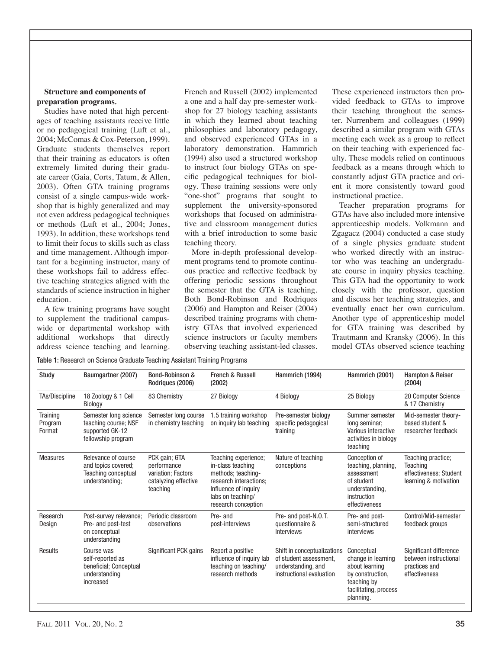#### **Structure and components of** preparation programs.

Studies have noted that high percentages of teaching assistants receive little or no pedagogical training (Luft et al., 2004; McComas & Cox-Peterson, 1999). Graduate students themselves report that their training as educators is often extremely limited during their graduate career (Gaia, Corts, Tatum, & Allen, 2003). Often GTA training programs consist of a single campus-wide workshop that is highly generalized and may not even address pedagogical techniques or methods (Luft et al., 2004; Jones, 1993). In addition, these workshops tend to limit their focus to skills such as class and time management. Although important for a beginning instructor, many of these workshops fail to address effective teaching strategies aligned with the standards of science instruction in higher education.

A few training programs have sought to supplement the traditional campuswide or departmental workshop with additional workshops that directly address science teaching and learning. French and Russell (2002) implemented a one and a half day pre-semester workshop for 27 biology teaching assistants in which they learned about teaching philosophies and laboratory pedagogy, and observed experienced GTAs in a laboratory demonstration. Hammrich (1994) also used a structured workshop to instruct four biology GTAs on specific pedagogical techniques for biology. These training sessions were only "one-shot" programs that sought to supplement the university-sponsored workshops that focused on administrative and classroom management duties with a brief introduction to some basic teaching theory.

More in-depth professional development programs tend to promote continuous practice and reflective feedback by offering periodic sessions throughout the semester that the GTA is teaching. Both Bond-Robinson and Rodriaues (2006) and Hampton and Reiser (2004) described training programs with chemistry GTAs that involved experienced science instructors or faculty members observing teaching assistant-led classes. These experienced instructors then provided feedback to GTAs to improve their teaching throughout the semester. Nurrenbern and colleagues (1999) described a similar program with GTAs meeting each week as a group to reflect on their teaching with experienced faculty. These models relied on continuous feedback as a means through which to constantly adjust GTA practice and orient it more consistently toward good instructional practice.

Teacher preparation programs for GTAs have also included more intensive apprenticeship models. Volkmann and Zgagacz (2004) conducted a case study of a single physics graduate student who worked directly with an instructor who was teaching an undergraduate course in inquiry physics teaching. This GTA had the opportunity to work closely with the professor, question and discuss her teaching strategies, and eventually enact her own curriculum. Another type of apprenticeship model for GTA training was described by Trautmann and Kransky (2006). In this model GTAs observed science teaching

Table 1: Research on Science Graduate Teaching Assistant Training Programs

| Study                         | Baumgartner (2007)                                                                         | <b>Bond-Robinson &amp;</b><br>Rodrigues (2006)                                         | <b>French &amp; Russell</b><br>(2002)                                                                                                                         | Hammrich (1994)                                                                                         | Hammrich (2001)                                                                                                             | <b>Hampton &amp; Reiser</b><br>(2004)                                             |
|-------------------------------|--------------------------------------------------------------------------------------------|----------------------------------------------------------------------------------------|---------------------------------------------------------------------------------------------------------------------------------------------------------------|---------------------------------------------------------------------------------------------------------|-----------------------------------------------------------------------------------------------------------------------------|-----------------------------------------------------------------------------------|
| TAs/Discipline                | 18 Zoology & 1 Cell<br>Biology                                                             | 83 Chemistry                                                                           | 27 Biology                                                                                                                                                    | 4 Biology                                                                                               | 25 Biology                                                                                                                  | 20 Computer Science<br>& 17 Chemistry                                             |
| Training<br>Program<br>Format | Semester long science<br>teaching course; NSF<br>supported GK-12<br>fellowship program     | Semester long course<br>in chemistry teaching                                          | 1.5 training workshop<br>on inquiry lab teaching                                                                                                              | Pre-semester biology<br>specific pedagogical<br>training                                                | Summer semester<br>long seminar;<br>Various interactive<br>activities in biology<br>teaching                                | Mid-semester theory-<br>based student &<br>researcher feedback                    |
| <b>Measures</b>               | Relevance of course<br>and topics covered:<br><b>Teaching conceptual</b><br>understanding; | PCK gain; GTA<br>performance<br>variation; Factors<br>catalyzing effective<br>teaching | Teaching experience;<br>in-class teaching<br>methods; teaching-<br>research interactions:<br>Influence of inquiry<br>labs on teaching/<br>research conception | Nature of teaching<br>conceptions                                                                       | Conception of<br>teaching, planning,<br>assessment<br>of student<br>understanding,<br>instruction<br>effectiveness          | Teaching practice;<br>Teaching<br>effectiveness; Student<br>learning & motivation |
| Research<br>Design            | Post-survey relevance;<br>Pre- and post-test<br>on conceptual<br>understanding             | Periodic classroom<br>observations                                                     | Pre- and<br>post-interviews                                                                                                                                   | Pre- and post-N.O.T.<br>questionnaire &<br>Interviews                                                   | Pre- and post-<br>semi-structured<br>interviews                                                                             | Control/Mid-semester<br>feedback groups                                           |
| Results                       | Course was<br>self-reported as<br>beneficial; Conceptual<br>understanding<br>increased     | Significant PCK gains                                                                  | Report a positive<br>influence of inquiry lab<br>teaching on teaching/<br>research methods                                                                    | Shift in conceptualizations<br>of student assessment.<br>understanding, and<br>instructional evaluation | Conceptual<br>change in learning<br>about learning<br>by construction.<br>teaching by<br>facilitating, process<br>planning. | Significant difference<br>between instructional<br>practices and<br>effectiveness |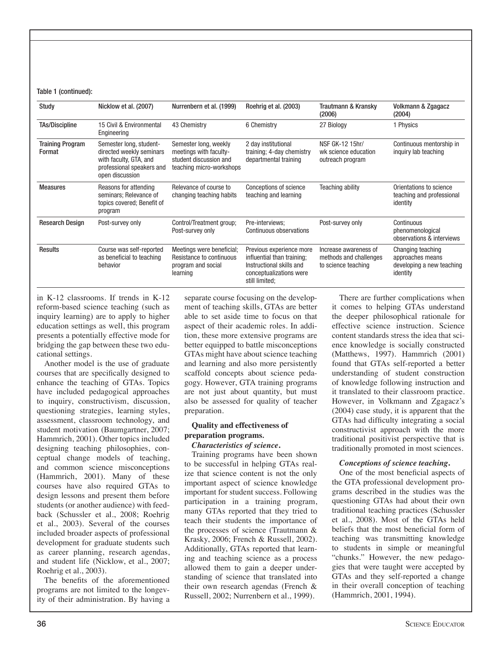#### Table 1 (continued):

| Study                             | Nicklow et al. (2007)                                                                                                         | Nurrenbern et al. (1999)                                                                              | Roehrig et al. (2003)                                                                                                           | Trautmann & Kransky<br>(2006)                                          | Volkmann & Zgagacz<br>(2004)                                                   |
|-----------------------------------|-------------------------------------------------------------------------------------------------------------------------------|-------------------------------------------------------------------------------------------------------|---------------------------------------------------------------------------------------------------------------------------------|------------------------------------------------------------------------|--------------------------------------------------------------------------------|
| <b>TAs/Discipline</b>             | 15 Civil & Environmental<br>Engineering                                                                                       | 43 Chemistry                                                                                          | 6 Chemistry                                                                                                                     | 27 Biology                                                             | 1 Physics                                                                      |
| <b>Training Program</b><br>Format | Semester long, student-<br>directed weekly seminars<br>with faculty, GTA, and<br>professional speakers and<br>open discussion | Semester long, weekly<br>meetings with faculty-<br>student discussion and<br>teaching micro-workshops | 2 day institutional<br>training; 4-day chemistry<br>departmental training                                                       | NSF GK-12 15hr/<br>wk science education<br>outreach program            | Continuous mentorship in<br>inguiry lab teaching                               |
| <b>Measures</b>                   | Reasons for attending<br>seminars; Relevance of<br>topics covered; Benefit of<br>program                                      | Relevance of course to<br>changing teaching habits                                                    | Conceptions of science<br>teaching and learning                                                                                 | <b>Teaching ability</b>                                                | Orientations to science<br>teaching and professional<br>identity               |
| <b>Research Design</b>            | Post-survey only                                                                                                              | Control/Treatment group;<br>Post-survey only                                                          | Pre-interviews;<br>Continuous observations                                                                                      | Post-survey only                                                       | Continuous<br>phenomenological<br>observations & interviews                    |
| <b>Results</b>                    | Course was self-reported<br>as beneficial to teaching<br>behavior                                                             | Meetings were beneficial;<br>Resistance to continuous<br>program and social<br>learning               | Previous experience more<br>influential than training;<br>Instructional skills and<br>conceptualizations were<br>still limited: | Increase awareness of<br>methods and challenges<br>to science teaching | Changing teaching<br>approaches means<br>developing a new teaching<br>identity |

in K-12 classrooms. If trends in K-12 reform-based science teaching (such as inquiry learning) are to apply to higher education settings as well, this program presents a potentially effective mode for bridging the gap between these two educational settings.

Another model is the use of graduate courses that are specifically designed to enhance the teaching of GTAs. Topics have included pedagogical approaches to inquiry, constructivism, discussion, questioning strategies, learning styles, assessment, classroom technology, and student motivation (Baumgartner, 2007; Hammrich, 2001). Other topics included designing teaching philosophies, conceptual change models of teaching, and common science misconceptions (Hammrich, 2001). Many of these courses have also required GTAs to design lessons and present them before students (or another audience) with feedback (Schussler et al., 2008; Roehrig et al., 2003). Several of the courses included broader aspects of professional development for graduate students such as career planning, research agendas, and student life (Nicklow, et al., 2007; Roehrig et al., 2003).

The benefits of the aforementioned programs are not limited to the longevity of their administration. By having a separate course focusing on the development of teaching skills, GTAs are better able to set aside time to focus on that aspect of their academic roles. In addition, these more extensive programs are better equipped to battle misconceptions GTAs might have about science teaching and learning and also more persistently scaffold concepts about science pedagogy. However, GTA training programs are not just about quantity, but must also be assessed for quality of teacher preparation.

#### Quality and effectiveness of preparation programs.

#### Characteristics of science.

Training programs have been shown to be successful in helping GTAs realize that science content is not the only important aspect of science knowledge important for student success. Following participation in a training program, many GTAs reported that they tried to teach their students the importance of the processes of science (Trautmann  $\&$ Krasky, 2006; French & Russell, 2002). Additionally, GTAs reported that learning and teaching science as a process allowed them to gain a deeper understanding of science that translated into their own research agendas (French & Russell, 2002; Nurrenbern et al., 1999).

There are further complications when it comes to helping GTAs understand the deeper philosophical rationale for effective science instruction. Science content standards stress the idea that science knowledge is socially constructed (Matthews, 1997). Hammrich (2001) found that GTAs self-reported a better understanding of student construction of knowledge following instruction and it translated to their classroom practice. However, in Volkmann and Zgagacz's  $(2004)$  case study, it is apparent that the GTAs had difficulty integrating a social constructivist approach with the more traditional positivist perspective that is traditionally promoted in most sciences.

#### Conceptions of science teaching.

One of the most beneficial aspects of the GTA professional development programs described in the studies was the questioning GTAs had about their own traditional teaching practices (Schussler et al., 2008). Most of the GTAs held beliefs that the most beneficial form of teaching was transmitting knowledge to students in simple or meaningful "chunks." However, the new pedagogies that were taught were accepted by GTAs and they self-reported a change in their overall conception of teaching (Hammrich, 2001, 1994).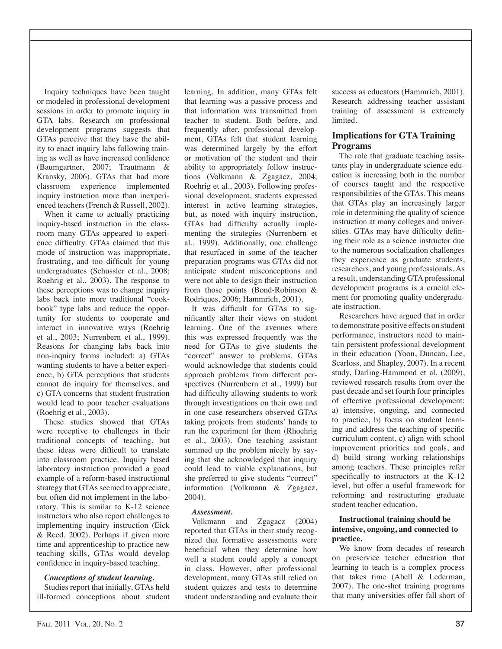Inquiry techniques have been taught or modeled in professional development sessions in order to promote inquiry in GTA labs. Research on professional development programs suggests that GTAs perceive that they have the ability to enact inquiry labs following training as well as have increased confidence (Baumgartner, 2007; Trautmann & Kransky, 2006). GTAs that had more classroom experience implemented inquiry instruction more than inexperienced teachers (French & Russell, 2002).

When it came to actually practicing inquiry-based instruction in the classroom many GTAs appeared to experience difficulty. GTAs claimed that this mode of instruction was inappropriate, frustrating, and too difficult for young undergraduates (Schussler et al., 2008; Roehrig et al., 2003). The response to these perceptions was to change inquiry labs back into more traditional "cookbook" type labs and reduce the opportunity for students to cooperate and interact in innovative ways (Roehrig et al., 2003; Nurrenbern et al., 1999). Reasons for changing labs back into non-inquiry forms included: a) GTAs wanting students to have a better experience, b) GTA perceptions that students cannot do inquiry for themselves, and c) GTA concerns that student frustration would lead to poor teacher evaluations (Roehrig et al., 2003).

These studies showed that GTAs were receptive to challenges in their traditional concepts of teaching, but these ideas were difficult to translate into classroom practice. Inquiry based laboratory instruction provided a good example of a reform-based instructional strategy that GTAs seemed to appreciate, but often did not implement in the laboratory. This is similar to K-12 science instructors who also report challenges to implementing inquiry instruction (Eick) & Reed, 2002). Perhaps if given more time and apprenticeship to practice new teaching skills, GTAs would develop confidence in inquiry-based teaching.

#### Conceptions of student learning.

Studies report that initially, GTAs held ill-formed conceptions about student learning. In addition, many GTAs felt that learning was a passive process and that information was transmitted from teacher to student. Both before, and frequently after, professional development, GTAs felt that student learning was determined largely by the effort or motivation of the student and their ability to appropriately follow instructions (Volkmann & Zgagacz, 2004; Roehrig et al., 2003). Following professional development, students expressed interest in active learning strategies, but, as noted with inquiry instruction, GTAs had difficulty actually implementing the strategies (Nurrenbern et al., 1999). Additionally, one challenge that resurfaced in some of the teacher preparation programs was GTAs did not anticipate student misconceptions and were not able to design their instruction from those points (Bond-Robinson  $\&$ Rodrigues, 2006; Hammrich, 2001).

It was difficult for GTAs to significantly alter their views on student learning. One of the avenues where this was expressed frequently was the need for GTAs to give students the "correct" answer to problems. GTAs would acknowledge that students could approach problems from different perspectives (Nurrenbern et al., 1999) but had difficulty allowing students to work through investigations on their own and in one case researchers observed GTAs taking projects from students' hands to run the experiment for them (Rhoehrig et al., 2003). One teaching assistant summed up the problem nicely by saying that she acknowledged that inquiry could lead to viable explanations, but she preferred to give students "correct" information (Volkmann & Zgagacz,  $2004$ ).

#### Assessment.

Volkmann and Zgagacz (2004) reported that GTAs in their study recognized that formative assessments were beneficial when they determine how well a student could apply a concept in class. However, after professional development, many GTAs still relied on student quizzes and tests to determine student understanding and evaluate their

success as educators (Hammrich, 2001). Research addressing teacher assistant training of assessment is extremely limited.

# **Implications for GTA Training Programs**

The role that graduate teaching assistants play in undergraduate science education is increasing both in the number of courses taught and the respective responsibilities of the GTAs. This means that GTAs play an increasingly larger role in determining the quality of science instruction at many colleges and universities. GTAs may have difficulty defining their role as a science instructor due to the numerous socialization challenges they experience as graduate students, researchers, and young professionals. As a result, understanding GTA professional development programs is a crucial element for promoting quality undergraduate instruction.

Researchers have argued that in order to demonstrate positive effects on student performance, instructors need to maintain persistent professional development in their education (Yoon, Duncan, Lee, Scarloss, and Shapley, 2007). In a recent study, Darling-Hammond et al. (2009), reviewed research results from over the past decade and set fourth four principles of effective professional development: a) intensive, ongoing, and connected to practice, b) focus on student learning and address the teaching of specific curriculum content, c) align with school improvement priorities and goals, and d) build strong working relationships among teachers. These principles refer specifically to instructors at the K-12 level, but offer a useful framework for reforming and restructuring graduate student teacher education.

## **Instructional training should be** intensive, ongoing, and connected to practice.

We know from decades of research on preservice teacher education that learning to teach is a complex process that takes time (Abell & Lederman, 2007). The one-shot training programs that many universities offer fall short of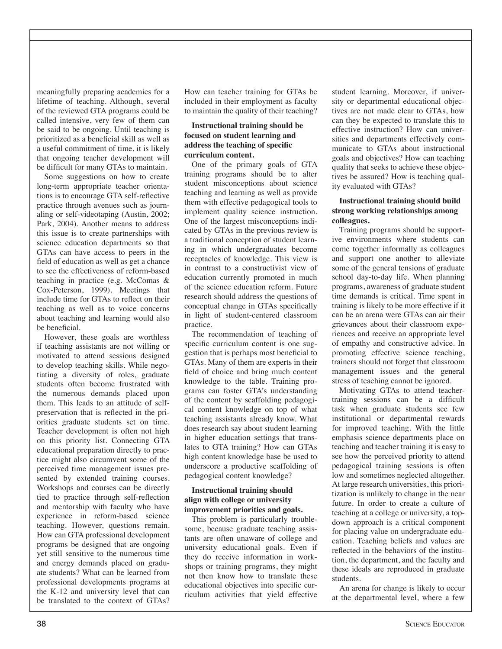meaningfully preparing academics for a lifetime of teaching. Although, several of the reviewed GTA programs could be called intensive, very few of them can be said to be ongoing. Until teaching is prioritized as a beneficial skill as well as a useful commitment of time, it is likely that ongoing teacher development will be difficult for many GTAs to maintain.

Some suggestions on how to create long-term appropriate teacher orientations is to encourage GTA self-reflective practice through avenues such as journaling or self-videotaping (Austin, 2002; Park, 2004). Another means to address this issue is to create partnerships with science education departments so that GTAs can have access to peers in the field of education as well as get a chance to see the effectiveness of reform-based teaching in practice (e.g. McComas & Cox-Peterson, 1999). Meetings that include time for GTAs to reflect on their teaching as well as to voice concerns about teaching and learning would also be beneficial

However, these goals are worthless if teaching assistants are not willing or motivated to attend sessions designed to develop teaching skills. While negotiating a diversity of roles, graduate students often become frustrated with the numerous demands placed upon them. This leads to an attitude of selfpreservation that is reflected in the priorities graduate students set on time. Teacher development is often not high on this priority list. Connecting GTA educational preparation directly to practice might also circumvent some of the perceived time management issues presented by extended training courses. Workshops and courses can be directly tied to practice through self-reflection and mentorship with faculty who have experience in reform-based science teaching. However, questions remain. How can GTA professional development programs be designed that are ongoing yet still sensitive to the numerous time and energy demands placed on graduate students? What can be learned from professional developments programs at the K-12 and university level that can be translated to the context of GTAs?

How can teacher training for GTAs be included in their employment as faculty to maintain the quality of their teaching?

#### **Instructional training should be** focused on student learning and address the teaching of specific curriculum content.

One of the primary goals of GTA training programs should be to alter student misconceptions about science teaching and learning as well as provide them with effective pedagogical tools to implement quality science instruction. One of the largest misconceptions indicated by GTAs in the previous review is a traditional conception of student learning in which undergraduates become receptacles of knowledge. This view is in contrast to a constructivist view of education currently promoted in much of the science education reform. Future research should address the questions of conceptual change in GTAs specifically in light of student-centered classroom practice.

The recommendation of teaching of specific curriculum content is one suggestion that is perhaps most beneficial to GTAs. Many of them are experts in their field of choice and bring much content knowledge to the table. Training programs can foster GTA's understanding of the content by scaffolding pedagogical content knowledge on top of what teaching assistants already know. What does research say about student learning in higher education settings that translates to GTA training? How can GTAs high content knowledge base be used to underscore a productive scaffolding of pedagogical content knowledge?

## **Instructional training should** align with college or university improvement priorities and goals.

This problem is particularly troublesome, because graduate teaching assistants are often unaware of college and university educational goals. Even if they do receive information in workshops or training programs, they might not then know how to translate these educational objectives into specific curriculum activities that yield effective

student learning. Moreover, if university or departmental educational objectives are not made clear to GTAs, how can they be expected to translate this to effective instruction? How can universities and departments effectively communicate to GTAs about instructional goals and objectives? How can teaching quality that seeks to achieve these objectives be assured? How is teaching quality evaluated with GTAs?

## **Instructional training should build** strong working relationships among colleagues.

Training programs should be supportive environments where students can come together informally as colleagues and support one another to alleviate some of the general tensions of graduate school day-to-day life. When planning programs, awareness of graduate student time demands is critical. Time spent in training is likely to be more effective if it can be an arena were GTAs can air their grievances about their classroom experiences and receive an appropriate level of empathy and constructive advice. In promoting effective science teaching, trainers should not forget that classroom management issues and the general stress of teaching cannot be ignored.

Motivating GTAs to attend teachertraining sessions can be a difficult task when graduate students see few institutional or departmental rewards for improved teaching. With the little emphasis science departments place on teaching and teacher training it is easy to see how the perceived priority to attend pedagogical training sessions is often low and sometimes neglected altogether. At large research universities, this prioritization is unlikely to change in the near future. In order to create a culture of teaching at a college or university, a topdown approach is a critical component for placing value on undergraduate education. Teaching beliefs and values are reflected in the behaviors of the institution, the department, and the faculty and these ideals are reproduced in graduate students.

An arena for change is likely to occur at the departmental level, where a few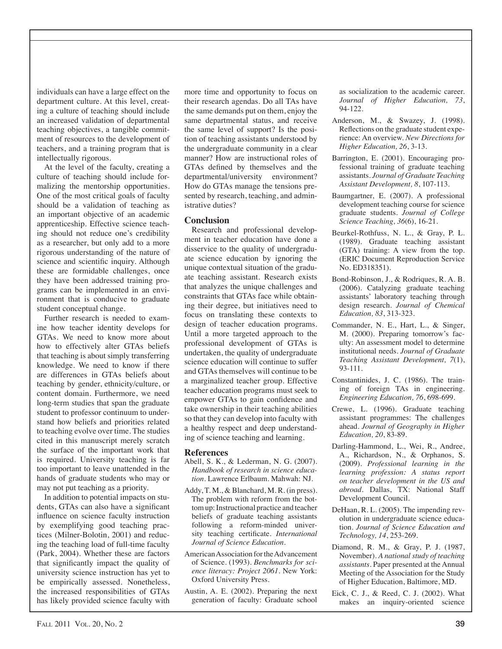individuals can have a large effect on the department culture. At this level, creating a culture of teaching should include an increased validation of departmental teaching objectives, a tangible commitment of resources to the development of teachers, and a training program that is intellectually rigorous.

At the level of the faculty, creating a culture of teaching should include formalizing the mentorship opportunities. One of the most critical goals of faculty should be a validation of teaching as an important objective of an academic apprenticeship. Effective science teaching should not reduce one's credibility as a researcher, but only add to a more rigorous understanding of the nature of science and scientific inquiry. Although these are formidable challenges, once they have been addressed training programs can be implemented in an environment that is conducive to graduate student conceptual change.

Further research is needed to examine how teacher identity develops for GTAs. We need to know more about how to effectively alter GTAs beliefs that teaching is about simply transferring knowledge. We need to know if there are differences in GTAs beliefs about teaching by gender, ethnicity/culture, or content domain. Furthermore, we need long-term studies that span the graduate student to professor continuum to understand how beliefs and priorities related to teaching evolve over time. The studies cited in this manuscript merely scratch the surface of the important work that is required. University teaching is far too important to leave unattended in the hands of graduate students who may or may not put teaching as a priority.

In addition to potential impacts on students, GTAs can also have a significant influence on science faculty instruction by exemplifying good teaching practices (Milner-Bolotin, 2001) and reducing the teaching load of full-time faculty (Park, 2004). Whether these are factors that significantly impact the quality of university science instruction has yet to be empirically assessed. Nonetheless, the increased responsibilities of GTAs has likely provided science faculty with more time and opportunity to focus on their research agendas. Do all TAs have the same demands put on them, enjoy the same departmental status, and receive the same level of support? Is the position of teaching assistants understood by the undergraduate community in a clear manner? How are instructional roles of GTAs defined by themselves and the departmental/university environment? How do GTAs manage the tensions presented by research, teaching, and administrative duties?

#### **Conclusion**

Research and professional development in teacher education have done a disservice to the quality of undergraduate science education by ignoring the unique contextual situation of the graduate teaching assistant. Research exists that analyzes the unique challenges and constraints that GTAs face while obtaining their degree, but initiatives need to focus on translating these contexts to design of teacher education programs. Until a more targeted approach to the professional development of GTAs is undertaken, the quality of undergraduate science education will continue to suffer and GTAs themselves will continue to be a marginalized teacher group. Effective teacher education programs must seek to empower GTAs to gain confidence and take ownership in their teaching abilities so that they can develop into faculty with a healthy respect and deep understanding of science teaching and learning.

#### **References**

- Abell, S. K., & Lederman, N. G. (2007). Handbook of research in science education. Lawrence Erlbaum. Mahwah: NJ.
- Addy, T. M., & Blanchard, M. R. (in press). The problem with reform from the bottom up: Instructional practice and teacher beliefs of graduate teaching assistants following a reform-minded university teaching certificate. International Journal of Science Education.
- American Association for the Advancement of Science. (1993). Benchmarks for science literacy: Project 2061. New York: Oxford University Press.
- Austin, A. E. (2002). Preparing the next generation of faculty: Graduate school

as socialization to the academic career. Journal of Higher Education, 73, 94-122.

- Anderson, M., & Swazey, J. (1998). Reflections on the graduate student experience: An overview. New Directions for Higher Education, 26, 3-13.
- Barrington, E. (2001). Encouraging professional training of graduate teaching assistants. Journal of Graduate Teaching Assistant Development, 8, 107-113.
- Baumgartner, E. (2007). A professional development teaching course for science graduate students. Journal of College Science Teaching, 36(6), 16-21.
- Beurkel-Rothfuss, N. L., & Gray, P. L. (1989). Graduate teaching assistant (GTA) training: A view from the top. (ERIC Document Reproduction Service) No. ED318351).
- Bond-Robinson, J., & Rodriques, R.A.B. (2006). Catalyzing graduate teaching assistants' laboratory teaching through design research. Journal of Chemical Education, 83, 313-323.
- Commander, N. E., Hart, L., & Singer, M. (2000). Preparing tomorrow's faculty: An assessment model to determine institutional needs. Journal of Graduate Teaching Assistant Development, 7(1), 93-111.
- Constantinides, J. C. (1986). The training of foreign TAs in engineering. Engineering Education, 76, 698-699.
- Crewe, L. (1996). Graduate teaching assistant programmes: The challenges ahead. Journal of Geography in Higher Education, 20, 83-89.
- Darling-Hammond, L., Wei, R., Andree, A., Richardson, N., & Orphanos, S. (2009). Professional learning in the learning profession: A status report on teacher development in the US and abroad. Dallas, TX: National Staff Development Council.
- DeHaan, R. L. (2005). The impending revolution in undergraduate science education. Journal of Science Education and Technology, 14, 253-269.
- Diamond, R. M., & Gray, P. J. (1987, November). A national study of teaching assistants. Paper presented at the Annual Meeting of the Association for the Study of Higher Education, Baltimore, MD.
- Eick, C. J., & Reed, C. J. (2002). What makes an inquiry-oriented science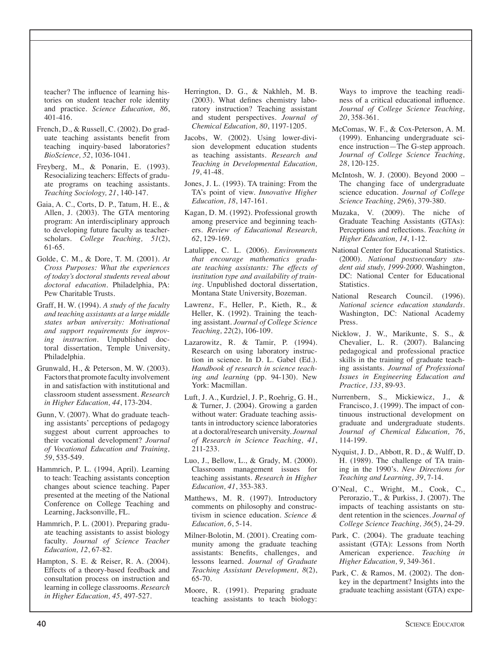teacher? The influence of learning histories on student teacher role identity and practice. Science Education, 86,  $401 - 416$ .

- French, D., & Russell, C. (2002). Do graduate teaching assistants benefit from teaching inquiry-based laboratories? *BioScience*, 52, 1036-1041.
- Freyberg, M., & Ponarin, E. (1993). Resocializing teachers: Effects of graduate programs on teaching assistants. Teaching Sociology, 21, 140-147.
- Gaia, A. C., Corts, D. P., Tatum, H. E., & Allen, J. (2003). The GTA mentoring program: An interdisciplinary approach to developing future faculty as teacherscholars. College Teaching, 51(2), 61-65.
- Golde, C. M., & Dore, T. M. (2001). At Cross Purposes: What the experiences of today's doctoral students reveal about doctoral education. Philadelphia, PA: Pew Charitable Trusts.
- Graff, H. W. (1994). A study of the faculty and teaching assistants at a large middle states urban university: Motivational and support requirements for improv*ing instruction*. Unpublished doctoral dissertation, Temple University, Philadelphia.
- Grunwald, H., & Peterson, M. W. (2003). Factors that promote faculty involvement in and satisfaction with institutional and classroom student assessment. Research in Higher Education, 44, 173-204.
- Gunn, V. (2007). What do graduate teaching assistants' perceptions of pedagogy suggest about current approaches to their vocational development? Journal of Vocational Education and Training, 59, 535-549.
- Hammrich, P. L. (1994, April). Learning to teach: Teaching assistants conception changes about science teaching. Paper presented at the meeting of the National Conference on College Teaching and Learning, Jacksonville, FL.
- Hammrich, P. L. (2001). Preparing graduate teaching assistants to assist biology faculty. Journal of Science Teacher Education, 12, 67-82.
- Hampton, S. E. & Reiser, R. A. (2004). Effects of a theory-based feedback and consultation process on instruction and learning in college classrooms. Research in Higher Education, 45, 497-527.
- Herrington, D. G., & Nakhleh, M. B. (2003). What defines chemistry laboratory instruction? Teaching assistant and student perspectives. Journal of Chemical Education, 80, 1197-1205.
- Jacobs, W. (2002). Using lower-division development education students as teaching assistants. Research and Teaching in Developmental Education, 19, 41-48.
- Jones, J. L. (1993). TA training: From the TA's point of view. Innovative Higher Education, 18, 147-161.
- Kagan, D. M. (1992). Professional growth among preservice and beginning teachers. Review of Educational Research, 62, 129-169.
- Latulippe, C. L. (2006). Environments that encourage mathematics graduate teaching assistants: The effects of institution type and availability of training. Unpublished doctoral dissertation, Montana State University, Bozeman.
- Lawrenz, F., Heller, P., Kieth, R., & Heller, K. (1992). Training the teaching assistant. Journal of College Science Teaching, 22(2), 106-109.
- Lazarowitz, R. & Tamir, P. (1994). Research on using laboratory instruction in science. In D. L. Gabel (Ed.). Handbook of research in science teaching and learning (pp. 94-130). New York: Macmillan.
- Luft, J. A., Kurdziel, J. P., Roehrig, G. H., & Turner, J. (2004). Growing a garden without water: Graduate teaching assistants in introductory science laboratories at a doctoral/research university. Journal of Research in Science Teaching, 41,  $211 - 233.$
- Luo, J., Bellow, L., & Grady, M. (2000). Classroom management issues for teaching assistants. Research in Higher Education, 41, 353-383.
- Matthews, M. R. (1997). Introductory comments on philosophy and constructivism in science education. Science & Education, 6, 5-14.
- Milner-Bolotin, M. (2001). Creating community among the graduate teaching assistants: Benefits, challenges, and lessons learned. Journal of Graduate Teaching Assistant Development, 8(2),  $65-70.$
- Moore, R. (1991). Preparing graduate teaching assistants to teach biology:

Ways to improve the teaching readiness of a critical educational influence. Journal of College Science Teaching, 20, 358-361.

- McComas, W. F., & Cox-Peterson, A. M. (1999). Enhancing undergraduate science instruction—The G-step approach. Journal of College Science Teaching, 28, 120-125.
- McIntosh, W. J. (2000). Beyond 2000 -The changing face of undergraduate science education. Journal of College Science Teaching, 29(6), 379-380.
- Muzaka, V. (2009). The niche of Graduate Teaching Assistants (GTAs): Perceptions and reflections. Teaching in Higher Education, 14, 1-12.
- National Center for Educational Statistics. (2000). National postsecondary student aid study, 1999-2000. Washington, DC: National Center for Educational **Statistics**
- National Research Council. (1996). National science education standards. Washington, DC: National Academy Press.
- Nicklow, J. W., Marikunte, S. S., & Chevalier, L. R. (2007). Balancing pedagogical and professional practice skills in the training of graduate teaching assistants. Journal of Professional Issues in Engineering Education and Practice, 133, 89-93.
- Nurrenbern, S., Mickiewicz, J., & Francisco, J. (1999). The impact of continuous instructional development on graduate and undergraduate students. Journal of Chemical Education, 76, 114-199.
- Nyquist, J. D., Abbott, R. D., & Wulff, D. H. (1989). The challenge of TA training in the 1990's. New Directions for Teaching and Learning, 39, 7-14.
- O'Neal, C., Wright, M., Cook, C., Perorazio, T., & Purkiss, J. (2007). The impacts of teaching assistants on student retention in the sciences. Journal of College Science Teaching, 36(5), 24-29.
- Park, C. (2004). The graduate teaching assistant (GTA): Lessons from North American experience. Teaching in Higher Education, 9, 349-361.
- Park, C. & Ramos, M. (2002). The donkey in the department? Insights into the graduate teaching assistant (GTA) expe-